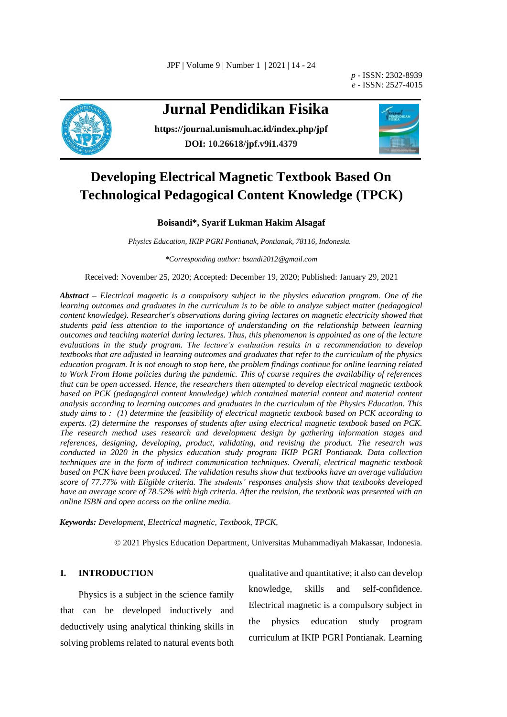JPF | Volume 9 | Number 1 | 2021 | 14 - 24

*p -* ISSN: 2302-8939 *e -* ISSN: 2527-4015



# **Jurnal Pendidikan Fisika**

**<https://journal.unismuh.ac.id/index.php/jpf> DOI: 10.26618/jpf.v9i1.4379**



# **Developing Electrical Magnetic Textbook Based On Technological Pedagogical Content Knowledge (TPCK)**

# **Boisandi\*, Syarif Lukman Hakim Alsagaf**

*Physics Education, IKIP PGRI Pontianak, Pontianak, 78116, Indonesia.*

*\*Corresponding author[: bsandi2012@gmail.com](mailto:bsandi2012@gmail.com)*

Received: November 25, 2020; Accepted: December 19, 2020; Published: January 29, 2021

*Abstract – Electrical magnetic is a compulsory subject in the physics education program. One of the learning outcomes and graduates in the curriculum is to be able to analyze subject matter (pedagogical content knowledge). Researcher's observations during giving lectures on magnetic electricity showed that students paid less attention to the importance of understanding on the relationship between learning outcomes and teaching material during lectures. Thus, this phenomenon is appointed as one of the lecture evaluations in the study program. The lecture's evaluation results in a recommendation to develop textbooks that are adjusted in learning outcomes and graduates that refer to the curriculum of the physics education program. It is not enough to stop here, the problem findings continue for online learning related to Work From Home policies during the pandemic. This of course requires the availability of references that can be open accessed. Hence, the researchers then attempted to develop electrical magnetic textbook based on PCK (pedagogical content knowledge) which contained material content and material content analysis according to learning outcomes and graduates in the curriculum of the Physics Education. This study aims to : (1) determine the feasibility of electrical magnetic textbook based on PCK according to experts. (2) determine the responses of students after using electrical magnetic textbook based on PCK. The research method uses research and development design by gathering information stages and references, designing, developing, product, validating, and revising the product. The research was conducted in 2020 in the physics education study program IKIP PGRI Pontianak. Data collection techniques are in the form of indirect communication techniques. Overall, electrical magnetic textbook based on PCK have been produced. The validation results show that textbooks have an average validation score of 77.77% with Eligible criteria. The students' responses analysis show that textbooks developed have an average score of 78.52% with high criteria. After the revision, the textbook was presented with an online ISBN and open access on the online media.* 

*Keywords: Development, Electrical magnetic, Textbook, TPCK,*

© 2021 Physics Education Department, Universitas Muhammadiyah Makassar, Indonesia.

# **I. INTRODUCTION**

Physics is a subject in the science family that can be developed inductively and deductively using analytical thinking skills in solving problems related to natural events both

qualitative and quantitative; it also can develop knowledge, skills and self-confidence. Electrical magnetic is a compulsory subject in the physics education study program curriculum at IKIP PGRI Pontianak. Learning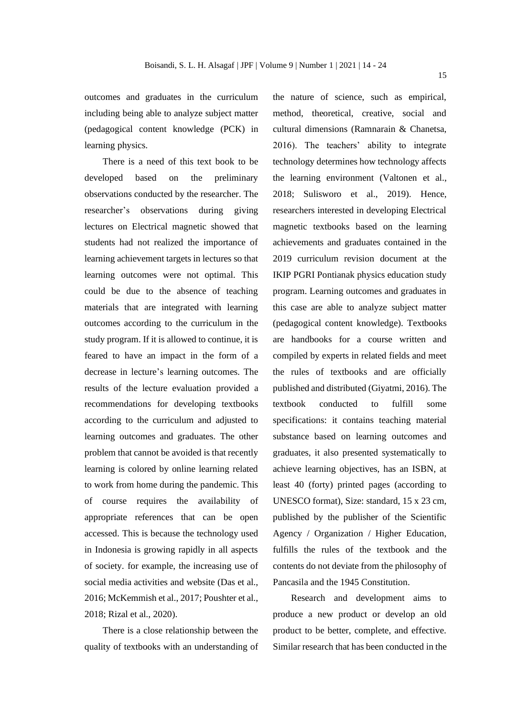outcomes and graduates in the curriculum including being able to analyze subject matter (pedagogical content knowledge (PCK) in learning physics.

There is a need of this text book to be developed based on the preliminary observations conducted by the researcher. The researcher's observations during giving lectures on Electrical magnetic showed that students had not realized the importance of learning achievement targets in lectures so that learning outcomes were not optimal. This could be due to the absence of teaching materials that are integrated with learning outcomes according to the curriculum in the study program. If it is allowed to continue, it is feared to have an impact in the form of a decrease in lecture's learning outcomes. The results of the lecture evaluation provided a recommendations for developing textbooks according to the curriculum and adjusted to learning outcomes and graduates. The other problem that cannot be avoided is that recently learning is colored by online learning related to work from home during the pandemic. This of course requires the availability of appropriate references that can be open accessed. This is because the technology used in Indonesia is growing rapidly in all aspects of society*.* for example, the increasing use of social media activities and website (Das et al., 2016; McKemmish et al., 2017; Poushter et al., 2018; Rizal et al., 2020).

There is a close relationship between the quality of textbooks with an understanding of the nature of science, such as empirical, method, theoretical, creative, social and cultural dimensions (Ramnarain & Chanetsa, 2016). The teachers' ability to integrate technology determines how technology affects the learning environment (Valtonen et al., 2018; Sulisworo et al., 2019). Hence, researchers interested in developing Electrical magnetic textbooks based on the learning achievements and graduates contained in the 2019 curriculum revision document at the IKIP PGRI Pontianak physics education study program. Learning outcomes and graduates in this case are able to analyze subject matter (pedagogical content knowledge). Textbooks are handbooks for a course written and compiled by experts in related fields and meet the rules of textbooks and are officially published and distributed (Giyatmi, 2016). The textbook conducted to fulfill some specifications: it contains teaching material substance based on learning outcomes and graduates, it also presented systematically to achieve learning objectives, has an ISBN, at least 40 (forty) printed pages (according to UNESCO format), Size: standard, 15 x 23 cm, published by the publisher of the Scientific Agency / Organization / Higher Education, fulfills the rules of the textbook and the contents do not deviate from the philosophy of Pancasila and the 1945 Constitution.

Research and development aims to produce a new product or develop an old product to be better, complete, and effective. Similar research that has been conducted in the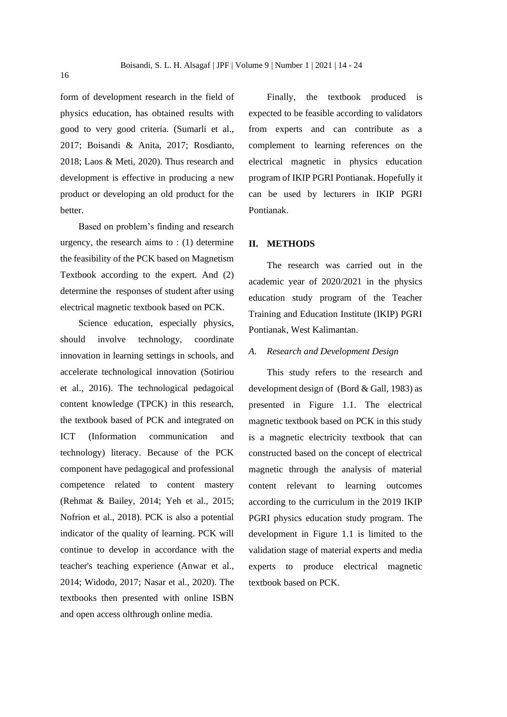form of development research in the field of physics education, has obtained results with good to very good criteria. (Sumarli et al., 2017; Boisandi & Anita, 2017; Rosdianto, 2018; Laos & Meti, 2020). Thus research and development is effective in producing a new product or developing an old product for the better.

Based on problem's finding and research urgency, the research aims to : (1) determine the feasibility of the PCK based on Magnetism Textbook according to the expert. And (2) determine the responses of student after using electrical magnetic textbook based on PCK.

Science education, especially physics, should involve technology, coordinate innovation in learning settings in schools, and accelerate technological innovation (Sotiriou et al., 2016). The technological pedagoical content knowledge (TPCK) in this research, the textbook based of PCK and integrated on ICT (Information communication and technology) literacy. Because of the PCK component have pedagogical and professional competence related to content mastery (Rehmat & Bailey, 2014; Yeh et al., 2015; Nofrion et al., 2018). PCK is also a potential indicator of the quality of learning. PCK will continue to develop in accordance with the teacher's teaching experience (Anwar et al., 2014; Widodo, 2017; Nasar et al., 2020). The textbooks then presented with online ISBN and open access olthrough online media.

Finally, the textbook produced is expected to be feasible according to validators from experts and can contribute as a complement to learning references on the electrical magnetic in physics education program of IKIP PGRI Pontianak. Hopefully it can be used by lecturers in IKIP PGRI Pontianak.

## **II. METHODS**

The research was carried out in the academic year of 2020/2021 in the physics education study program of the Teacher Training and Education Institute (IKIP) PGRI Pontianak, West Kalimantan.

## *A. Research and Development Design*

This study refers to the research and development design of (Bord & Gall, 1983) as presented in Figure 1.1. The electrical magnetic textbook based on PCK in this study is a magnetic electricity textbook that can constructed based on the concept of electrical magnetic through the analysis of material content relevant to learning outcomes according to the curriculum in the 2019 IKIP PGRI physics education study program. The development in Figure 1.1 is limited to the validation stage of material experts and media experts to produce electrical magnetic textbook based on PCK.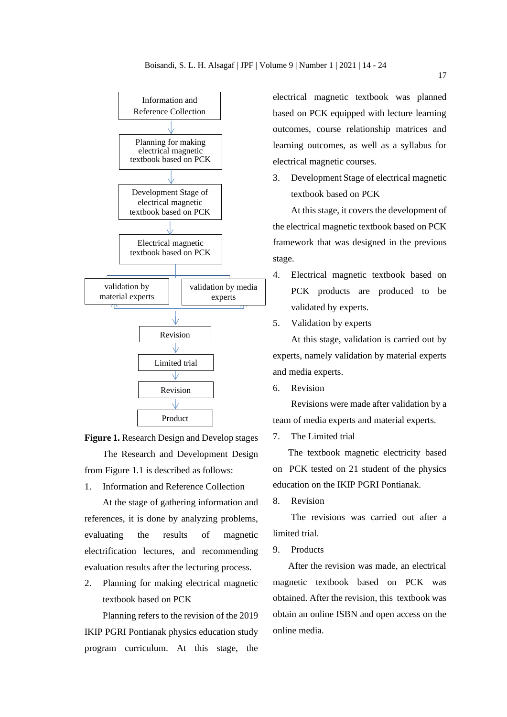



1. Information and Reference Collection

At the stage of gathering information and references, it is done by analyzing problems, evaluating the results of magnetic electrification lectures, and recommending evaluation results after the lecturing process.

2. Planning for making electrical magnetic textbook based on PCK

Planning refers to the revision of the 2019 IKIP PGRI Pontianak physics education study program curriculum. At this stage, the electrical magnetic textbook was planned based on PCK equipped with lecture learning outcomes, course relationship matrices and learning outcomes, as well as a syllabus for electrical magnetic courses.

3. Development Stage of electrical magnetic textbook based on PCK

At this stage, it covers the development of the electrical magnetic textbook based on PCK framework that was designed in the previous stage.

- 4. Electrical magnetic textbook based on PCK products are produced to be validated by experts.
- 5. Validation by experts

At this stage, validation is carried out by experts, namely validation by material experts and media experts.

6. Revision

Revisions were made after validation by a team of media experts and material experts.

7. The Limited trial

The textbook magnetic electricity based on PCK tested on 21 student of the physics education on the IKIP PGRI Pontianak.

8. Revision

The revisions was carried out after a limited trial.

9. Products

After the revision was made, an electrical magnetic textbook based on PCK was obtained. After the revision, this textbook was obtain an online ISBN and open access on the online media.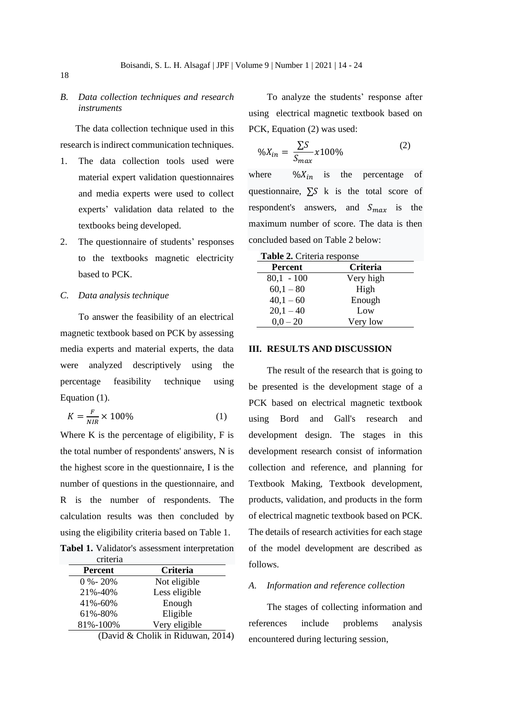# *B. Data collection techniques and research instruments*

The data collection technique used in this research is indirect communication techniques.

- 1. The data collection tools used were material expert validation questionnaires and media experts were used to collect experts' validation data related to the textbooks being developed.
- 2. The questionnaire of students' responses to the textbooks magnetic electricity based to PCK.

*C. Data analysis technique*

To answer the feasibility of an electrical magnetic textbook based on PCK by assessing media experts and material experts, the data were analyzed descriptively using the percentage feasibility technique using Equation (1).

$$
K = \frac{F}{NIR} \times 100\%
$$
 (1)

Where K is the percentage of eligibility, F is the total number of respondents' answers, N is the highest score in the questionnaire, I is the number of questions in the questionnaire, and R is the number of respondents. The calculation results was then concluded by using the eligibility criteria based on Table 1.

|          | <b>Tabel 1.</b> Validator's assessment interpretation |
|----------|-------------------------------------------------------|
| criteria |                                                       |

| <b>Percent</b> | <b>Criteria</b> |
|----------------|-----------------|
| $0 \%$ - 20%   | Not eligible    |
| 21%-40%        | Less eligible   |
| $41\% - 60\%$  | Enough          |
| 61%-80%        | Eligible        |
| 81%-100%       | Very eligible   |

(David & Cholik in Riduwan, 2014)

To analyze the students' response after using electrical magnetic textbook based on PCK, Equation (2) was used:

$$
\%X_{in} = \frac{\sum S}{S_{max}} \times 100\%
$$
 (2)

where  $\frac{1}{2}W_{in}$  is the percentage of questionnaire,  $\Sigma S$  k is the total score of respondent's answers, and  $S_{max}$  is the maximum number of score. The data is then concluded based on Table 2 below:

| <b>Table 2.</b> Criteria response |                 |  |  |  |
|-----------------------------------|-----------------|--|--|--|
| <b>Percent</b>                    | <b>Criteria</b> |  |  |  |
| $80,1 - 100$                      | Very high       |  |  |  |
| $60,1 - 80$                       | High            |  |  |  |
| $40,1 - 60$                       | Enough          |  |  |  |
| $20,1 - 40$                       | Low             |  |  |  |
| $0.0 - 20$                        | Very low        |  |  |  |

#### **III. RESULTS AND DISCUSSION**

The result of the research that is going to be presented is the development stage of a PCK based on electrical magnetic textbook using Bord and Gall's research and development design. The stages in this development research consist of information collection and reference, and planning for Textbook Making, Textbook development, products, validation, and products in the form of electrical magnetic textbook based on PCK. The details of research activities for each stage of the model development are described as follows.

#### *A. Information and reference collection*

The stages of collecting information and references include problems analysis encountered during lecturing session,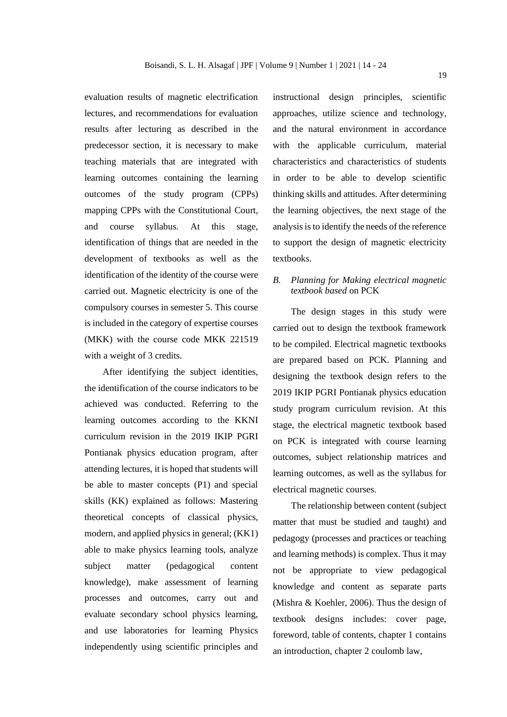evaluation results of magnetic electrification lectures, and recommendations for evaluation results after lecturing as described in the predecessor section, it is necessary to make teaching materials that are integrated with learning outcomes containing the learning outcomes of the study program (CPPs) mapping CPPs with the Constitutional Court, and course syllabus. At this stage, identification of things that are needed in the development of textbooks as well as the identification of the identity of the course were carried out. Magnetic electricity is one of the compulsory courses in semester 5. This course is included in the category of expertise courses (MKK) with the course code MKK 221519 with a weight of 3 credits.

After identifying the subject identities, the identification of the course indicators to be achieved was conducted. Referring to the learning outcomes according to the KKNI curriculum revision in the 2019 IKIP PGRI Pontianak physics education program, after attending lectures, it is hoped that students will be able to master concepts (P1) and special skills (KK) explained as follows: Mastering theoretical concepts of classical physics, modern, and applied physics in general; (KK1) able to make physics learning tools, analyze subject matter (pedagogical content knowledge), make assessment of learning processes and outcomes, carry out and evaluate secondary school physics learning, and use laboratories for learning Physics independently using scientific principles and

instructional design principles, scientific approaches, utilize science and technology, and the natural environment in accordance with the applicable curriculum, material characteristics and characteristics of students in order to be able to develop scientific thinking skills and attitudes. After determining the learning objectives, the next stage of the analysis is to identify the needs of the reference to support the design of magnetic electricity textbooks.

# *B. Planning for Making electrical magnetic textbook based* on PCK

The design stages in this study were carried out to design the textbook framework to be compiled. Electrical magnetic textbooks are prepared based on PCK. Planning and designing the textbook design refers to the 2019 IKIP PGRI Pontianak physics education study program curriculum revision. At this stage, the electrical magnetic textbook based on PCK is integrated with course learning outcomes, subject relationship matrices and learning outcomes, as well as the syllabus for electrical magnetic courses.

The relationship between content (subject matter that must be studied and taught) and pedagogy (processes and practices or teaching and learning methods) is complex. Thus it may not be appropriate to view pedagogical knowledge and content as separate parts (Mishra & Koehler, 2006). Thus the design of textbook designs includes: cover page, foreword, table of contents, chapter 1 contains an introduction, chapter 2 coulomb law,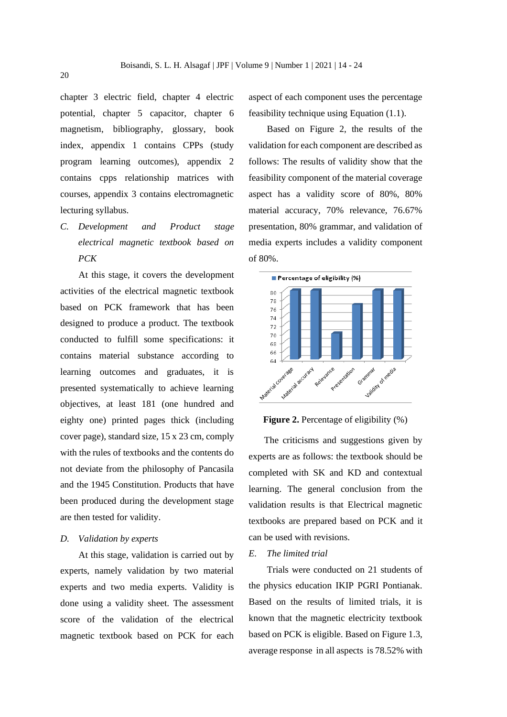chapter 3 electric field, chapter 4 electric potential, chapter 5 capacitor, chapter 6 magnetism, bibliography, glossary, book index, appendix 1 contains CPPs (study program learning outcomes), appendix 2 contains cpps relationship matrices with courses, appendix 3 contains electromagnetic lecturing syllabus.

*C. Development and Product stage electrical magnetic textbook based on PCK*

At this stage, it covers the development activities of the electrical magnetic textbook based on PCK framework that has been designed to produce a product. The textbook conducted to fulfill some specifications: it contains material substance according to learning outcomes and graduates, it is presented systematically to achieve learning objectives, at least 181 (one hundred and eighty one) printed pages thick (including cover page), standard size, 15 x 23 cm, comply with the rules of textbooks and the contents do not deviate from the philosophy of Pancasila and the 1945 Constitution. Products that have been produced during the development stage are then tested for validity.

#### *D. Validation by experts*

At this stage, validation is carried out by experts, namely validation by two material experts and two media experts. Validity is done using a validity sheet. The assessment score of the validation of the electrical magnetic textbook based on PCK for each

aspect of each component uses the percentage feasibility technique using Equation (1.1).

Based on Figure 2, the results of the validation for each component are described as follows: The results of validity show that the feasibility component of the material coverage aspect has a validity score of 80%, 80% material accuracy, 70% relevance, 76.67% presentation, 80% grammar, and validation of media experts includes a validity component of 80%.



#### **Figure 2.** Percentage of eligibility  $(\%)$

The criticisms and suggestions given by experts are as follows: the textbook should be completed with SK and KD and contextual learning. The general conclusion from the validation results is that Electrical magnetic textbooks are prepared based on PCK and it can be used with revisions.

# *E. The limited trial*

Trials were conducted on 21 students of the physics education IKIP PGRI Pontianak. Based on the results of limited trials, it is known that the magnetic electricity textbook based on PCK is eligible. Based on Figure 1.3, average response in all aspects is 78.52% with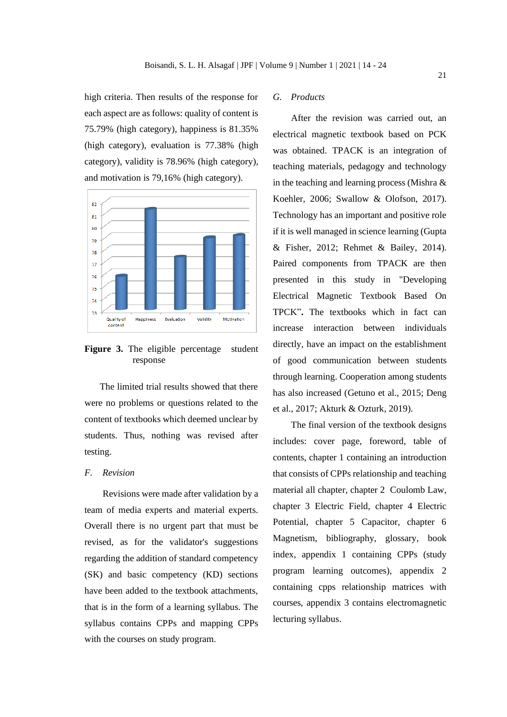high criteria. Then results of the response for each aspect are as follows: quality of content is 75.79% (high category), happiness is 81.35% (high category), evaluation is 77.38% (high category), validity is 78.96% (high category), and motivation is 79,16% (high category).



**Figure 3.** The eligible percentage student response

The limited trial results showed that there were no problems or questions related to the content of textbooks which deemed unclear by students. Thus, nothing was revised after testing.

## *F. Revision*

Revisions were made after validation by a team of media experts and material experts. Overall there is no urgent part that must be revised, as for the validator's suggestions regarding the addition of standard competency (SK) and basic competency (KD) sections have been added to the textbook attachments, that is in the form of a learning syllabus. The syllabus contains CPPs and mapping CPPs with the courses on study program.

## *G. Products*

After the revision was carried out, an electrical magnetic textbook based on PCK was obtained. TPACK is an integration of teaching materials, pedagogy and technology in the teaching and learning process (Mishra & Koehler, 2006; Swallow & Olofson, 2017). Technology has an important and positive role if it is well managed in science learning (Gupta & Fisher, 2012; Rehmet & Bailey, 2014). Paired components from TPACK are then presented in this study in "Developing Electrical Magnetic Textbook Based On TPCK"**.** The textbooks which in fact can increase interaction between individuals directly, have an impact on the establishment of good communication between students through learning. Cooperation among students has also increased (Getuno et al., 2015; Deng et al., 2017; Akturk & Ozturk, 2019).

The final version of the textbook designs includes: cover page, foreword, table of contents, chapter 1 containing an introduction that consists of CPPs relationship and teaching material all chapter, chapter 2 Coulomb Law, chapter 3 Electric Field, chapter 4 Electric Potential, chapter 5 Capacitor, chapter 6 Magnetism, bibliography, glossary, book index, appendix 1 containing CPPs (study program learning outcomes), appendix 2 containing cpps relationship matrices with courses, appendix 3 contains electromagnetic lecturing syllabus.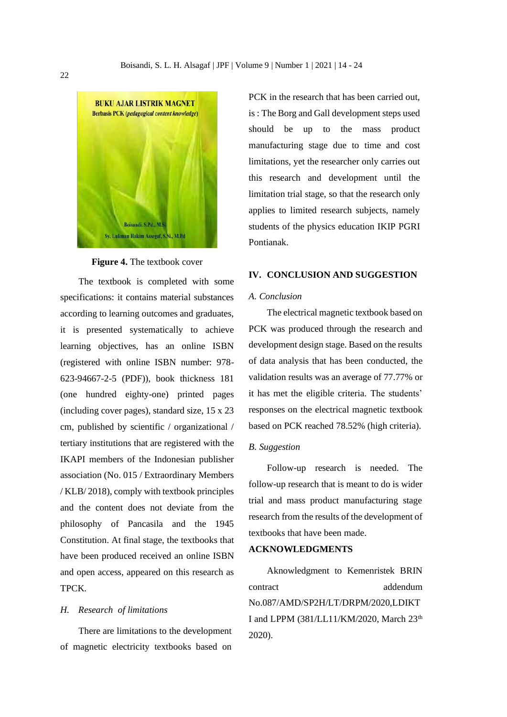

#### **Figure 4.** The textbook cover

The textbook is completed with some specifications: it contains material substances according to learning outcomes and graduates, it is presented systematically to achieve learning objectives, has an online ISBN (registered with online ISBN number: 978- 623-94667-2-5 (PDF)), book thickness 181 (one hundred eighty-one) printed pages (including cover pages), standard size, 15 x 23 cm, published by scientific / organizational / tertiary institutions that are registered with the IKAPI members of the Indonesian publisher association (No. 015 / Extraordinary Members / KLB/ 2018), comply with textbook principles and the content does not deviate from the philosophy of Pancasila and the 1945 Constitution. At final stage, the textbooks that have been produced received an online ISBN and open access, appeared on this research as TPCK.

# *H. Research of limitations*

There are limitations to the development of magnetic electricity textbooks based on

PCK in the research that has been carried out, is : The Borg and Gall development steps used should be up to the mass product manufacturing stage due to time and cost limitations, yet the researcher only carries out this research and development until the limitation trial stage, so that the research only applies to limited research subjects, namely students of the physics education IKIP PGRI Pontianak.

#### **IV. CONCLUSION AND SUGGESTION**

# *A. Conclusion*

The electrical magnetic textbook based on PCK was produced through the research and development design stage. Based on the results of data analysis that has been conducted, the validation results was an average of 77.77% or it has met the eligible criteria. The students' responses on the electrical magnetic textbook based on PCK reached 78.52% (high criteria).

#### *B. Suggestion*

Follow-up research is needed. The follow-up research that is meant to do is wider trial and mass product manufacturing stage research from the results of the development of textbooks that have been made.

# **ACKNOWLEDGMENTS**

Aknowledgment to Kemenristek BRIN contract addendum No.087/AMD/SP2H/LT/DRPM/2020,LDIKT I and LPPM (381/LL11/KM/2020, March 23<sup>th</sup> 2020).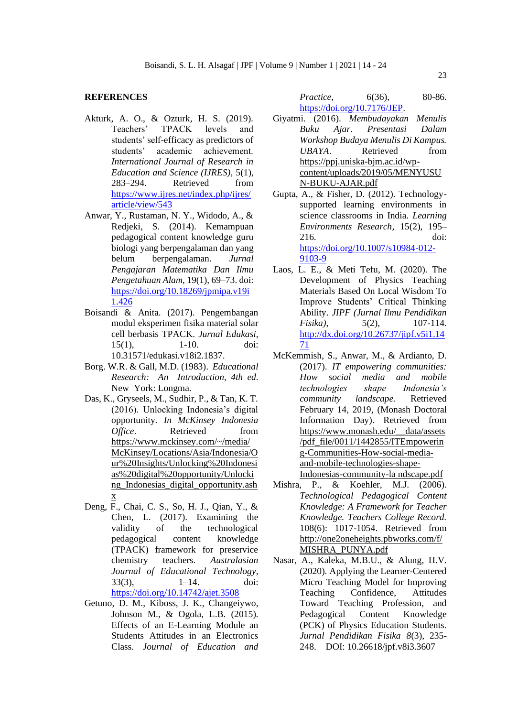### **REFERENCES**

- Akturk, A. O., & Ozturk, H. S. (2019). Teachers' TPACK levels and students' self-efficacy as predictors of students' academic achievement. *International Journal of Research in Education and Science (IJRES)*, 5(1), 283–294. Retrieved from [https://www.ijres.net/index.php/ijres/](https://www.ijres.net/index.php/ijres/article/view/543) [article/view/543](https://www.ijres.net/index.php/ijres/article/view/543)
- Anwar, Y., Rustaman, N. Y., Widodo, A., & Redjeki, S. (2014). Kemampuan pedagogical content knowledge guru biologi yang berpengalaman dan yang belum berpengalaman. *Jurnal Pengajaran Matematika Dan Ilmu Pengetahuan Alam*, 19(1), 69–73. doi: [https://doi.org/10.18269/jpmipa.v19i](https://doi.org/10.18269/jpmipa.v19i1.426) [1.426](https://doi.org/10.18269/jpmipa.v19i1.426)
- Boisandi & Anita. (2017). Pengembangan modul eksperimen fisika material solar cell berbasis TPACK. *Jurnal Edukasi,* 15(1), 1-10. doi: 10.31571/edukasi.v18i2.1837.
- Borg. W.R. & Gall, M.D. (1983). *Educational Research: An Introduction, 4th ed*. New York: Longma.
- Das, K., Gryseels, M., Sudhir, P., & Tan, K. T. (2016). Unlocking Indonesia's digital opportunity. *In McKinsey Indonesia Office.* Retrieved from [https://www.mckinsey.com/~/media/](https://www.mckinsey.com/~/media/McKinsey/Locations/Asia/Indonesia/Our%20Insights/Unlocking%20Indonesias%20digital%20opportunity/Unlocking_Indonesias_digital_opportunity.ashx) [McKinsey/Locations/Asia/Indonesia/O](https://www.mckinsey.com/~/media/McKinsey/Locations/Asia/Indonesia/Our%20Insights/Unlocking%20Indonesias%20digital%20opportunity/Unlocking_Indonesias_digital_opportunity.ashx) [ur%20Insights/Unlocking%20Indonesi](https://www.mckinsey.com/~/media/McKinsey/Locations/Asia/Indonesia/Our%20Insights/Unlocking%20Indonesias%20digital%20opportunity/Unlocking_Indonesias_digital_opportunity.ashx) [as%20digital%20opportunity/Unlocki](https://www.mckinsey.com/~/media/McKinsey/Locations/Asia/Indonesia/Our%20Insights/Unlocking%20Indonesias%20digital%20opportunity/Unlocking_Indonesias_digital_opportunity.ashx) [ng\\_Indonesias\\_digital\\_opportunity.ash](https://www.mckinsey.com/~/media/McKinsey/Locations/Asia/Indonesia/Our%20Insights/Unlocking%20Indonesias%20digital%20opportunity/Unlocking_Indonesias_digital_opportunity.ashx) [x](https://www.mckinsey.com/~/media/McKinsey/Locations/Asia/Indonesia/Our%20Insights/Unlocking%20Indonesias%20digital%20opportunity/Unlocking_Indonesias_digital_opportunity.ashx)
- Deng, F., Chai, C. S., So, H. J., Qian, Y., & Chen, L. (2017). Examining the validity of the technological pedagogical content knowledge (TPACK) framework for preservice chemistry teachers. *Australasian Journal of Educational Technology*, 33(3), 1–14. doi: <https://doi.org/10.14742/ajet.3508>
- Getuno, D. M., Kiboss, J. K., Changeiywo, Johnson M., & Ogola, L.B. (2015). Effects of an E-Learning Module an Students Attitudes in an Electronics Class. *Journal of Education and*

*Practice*, 6(36), 80-86. [https://doi.org/10.7176/JEP.](https://doi.org/10.7176/JEP)

Giyatmi. (2016). *Membudayakan Menulis Buku Ajar*. *Presentasi Dalam Workshop Budaya Menulis Di Kampus. UBAYA*. Retrieved from [https://ppj.uniska-bjm.ac.id/wp](https://ppj.uniska-bjm.ac.id/wp-content/uploads/2019/05/MENYUSUN-BUKU-AJAR.pdf)[content/uploads/2019/05/MENYUSU](https://ppj.uniska-bjm.ac.id/wp-content/uploads/2019/05/MENYUSUN-BUKU-AJAR.pdf) [N-BUKU-AJAR.pdf](https://ppj.uniska-bjm.ac.id/wp-content/uploads/2019/05/MENYUSUN-BUKU-AJAR.pdf)

Gupta, A., & Fisher, D. (2012). Technologysupported learning environments in science classrooms in India. *Learning Environments Research*, 15(2), 195– 216. doi: [https://doi.org/10.1007/s10984-012-](https://doi.org/10.1007/s10984-012-9103-9) [9103-9](https://doi.org/10.1007/s10984-012-9103-9)

- Laos, L. E., & Meti Tefu, M. (2020). The Development of Physics Teaching Materials Based On Local Wisdom To Improve Students' Critical Thinking Ability. *JIPF (Jurnal Ilmu Pendidikan Fisika*), 5(2), 107-114. [http://dx.doi.org/10.26737/jipf.v5i1.14](http://dx.doi.org/10.26737/jipf.v5i1.1471) [71](http://dx.doi.org/10.26737/jipf.v5i1.1471)
- McKemmish, S., Anwar, M., & Ardianto, D. (2017). *IT empowering communities: How social media and mobile technologies shape Indonesia's community landscape.* Retrieved February 14, 2019, (Monash Doctoral Information Day). Retrieved from [https://www.monash.edu/\\_\\_data/assets](https://www.monash.edu/__data/assets/pdf_file/0011/1442855/ITEmpowering-Communities-How-social-media-and-mobile-technologies-shape-Indonesias-community-la%20ndscape.pdf) [/pdf\\_file/0011/1442855/ITEmpowerin](https://www.monash.edu/__data/assets/pdf_file/0011/1442855/ITEmpowering-Communities-How-social-media-and-mobile-technologies-shape-Indonesias-community-la%20ndscape.pdf) [g-Communities-How-social-media](https://www.monash.edu/__data/assets/pdf_file/0011/1442855/ITEmpowering-Communities-How-social-media-and-mobile-technologies-shape-Indonesias-community-la%20ndscape.pdf)[and-mobile-technologies-shape-](https://www.monash.edu/__data/assets/pdf_file/0011/1442855/ITEmpowering-Communities-How-social-media-and-mobile-technologies-shape-Indonesias-community-la%20ndscape.pdf)[Indonesias-community-la ndscape.pdf](https://www.monash.edu/__data/assets/pdf_file/0011/1442855/ITEmpowering-Communities-How-social-media-and-mobile-technologies-shape-Indonesias-community-la%20ndscape.pdf)
- Mishra, P., & Koehler, M.J. (2006). *Technological Pedagogical Content Knowledge: A Framework for Teacher Knowledge. Teachers College Record.* 108(6): 1017-1054. Retrieved from [http://one2oneheights.pbworks.com/f/](http://one2oneheights.pbworks.com/f/MISHRA_PUNYA.pdf) [MISHRA\\_PUNYA.pdf](http://one2oneheights.pbworks.com/f/MISHRA_PUNYA.pdf)
- Nasar, A., Kaleka, M.B.U., & Alung, H.V. (2020). Applying the Learner-Centered Micro Teaching Model for Improving Teaching Confidence, Attitudes Toward Teaching Profession, and Pedagogical Content Knowledge (PCK) of Physics Education Students. *Jurnal Pendidikan Fisika 8*(3), 235- 248. DOI: 10.26618/jpf.v8i3.3607